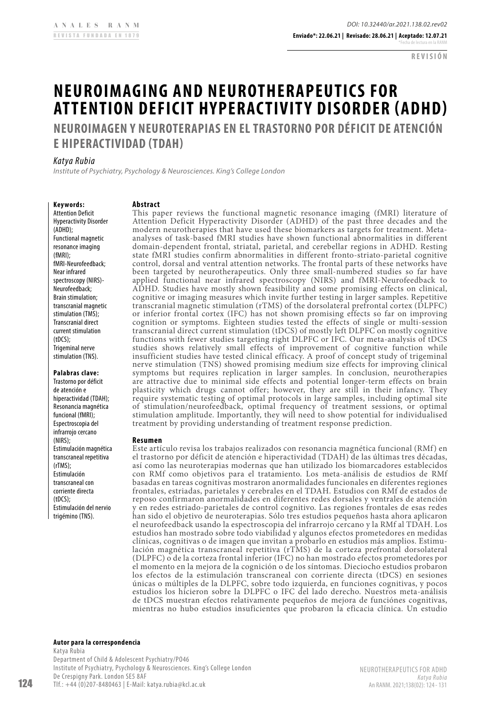**REVISIÓN**

# **NEUROIMAGING AND NEUROTHERAPEUTICS FOR ATTENTION DEFICIT HYPERACTIVITY DISORDER (ADHD)**

**NEUROIMAGEN Y NEUROTERAPIAS EN EL TRASTORNO POR DÉFICIT DE ATENCIÓN E HIPERACTIVIDAD (TDAH)**

# *Katya Rubia*

*Institute of Psychiatry, Psychology & Neurosciences. King's College London*

# **Keywords:**

Attention Deficit Hyperactivity Disorder (ADHD); Functional magnetic resonance imaging (fMRI); fMRI-Neurofeedback; Near infrared spectroscopy (NIRS)- Neurofeedback; Brain stimulation; transcranial magnetic stimulation (TMS); Transcranial direct current stimulation (tDCS); Trigeminal nerve stimulation (TNS).

**Palabras clave:**

Trastorno por déficit de atención e hiperactividad (TDAH); Resonancia magnética funcional (fMRI); Espectroscopia del infrarroio cercano (NIRS); Estimulación magnética transcraneal repetitiva (rTMS); Estimulación transcraneal con corriente directa  $(fDCS)$ Estimulación del nervio trigémino (TNS).

## **Abstract**

This paper reviews the functional magnetic resonance imaging (fMRI) literature of Attention Deficit Hyperactivity Disorder (ADHD) of the past three decades and the modern neurotherapies that have used these biomarkers as targets for treatment. Metaanalyses of task-based fMRI studies have shown functional abnormalities in different domain-dependent frontal, striatal, parietal, and cerebellar regions in ADHD. Resting state fMRI studies confirm abnormalities in different fronto-striato-parietal cognitive control, dorsal and ventral attention networks. The frontal parts of these networks have been targeted by neurotherapeutics. Only three small-numbered studies so far have applied functional near infrared spectroscopy (NIRS) and fMRI-Neurofeedback to ADHD. Studies have mostly shown feasibility and some promising effects on clinical, cognitive or imaging measures which invite further testing in larger samples. Repetitive transcranial magnetic stimulation (rTMS) of the dorsolateral prefrontal cortex (DLPFC) or inferior frontal cortex (IFC) has not shown promising effects so far on improving cognition or symptoms. Eighteen studies tested the effects of single or multi-session transcranial direct current stimulation (tDCS) of mostly left DLPFC on mostly cognitive functions with fewer studies targeting right DLPFC or IFC. Our meta-analysis of tDCS studies shows relatively small effects of improvement of cognitive function while insufficient studies have tested clinical efficacy. A proof of concept study of trigeminal nerve stimulation (TNS) showed promising medium size effects for improving clinical symptoms but requires replication in larger samples. In conclusion, neurotherapies are attractive due to minimal side effects and potential longer-term effects on brain plasticity which drugs cannot offer; however, they are still in their infancy. They require systematic testing of optimal protocols in large samples, including optimal site of stimulation/neurofeedback, optimal frequency of treatment sessions, or optimal stimulation amplitude. Importantly, they will need to show potential for individualised treatment by providing understanding of treatment response prediction.

#### **Resumen**

Este artículo revisa los trabajos realizados con resonancia magnética funcional (RMf) en el trastorno por déficit de atención e hiperactividad (TDAH) de las últimas tres décadas, así como las neuroterapias modernas que han utilizado los biomarcadores establecidos con RMf como objetivos para el tratamiento. Los meta-análisis de estudios de RMf basadas en tareas cognitivas mostraron anormalidades funcionales en diferentes regiones frontales, estriadas, parietales y cerebrales en el TDAH. Estudios con RMf de estados de reposo confirmaron anormalidades en diferentes redes dorsales y ventrales de atención y en redes estriado-parietales de control cognitivo. Las regiones frontales de esas redes han sido el objetivo de neuroterapias. Sólo tres estudios pequeños hasta ahora aplicaron el neurofeedback usando la espectroscopia del infrarrojo cercano y la RMf al TDAH. Los estudios han mostrado sobre todo viabilidad y algunos efectos prometedores en medidas clínicas, cognitivas o de imagen que invitan a probarlo en estudios más amplios. Estimulación magnética transcraneal repetitiva (rTMS) de la corteza prefrontal dorsolateral (DLPFC) o de la corteza frontal inferior (IFC) no han mostrado efectos prometedores por el momento en la mejora de la cognición o de los síntomas. Dieciocho estudios probaron los efectos de la estimulación transcraneal con corriente directa (tDCS) en sesiones únicas o múltiples de la DLPFC, sobre todo izquierda, en funciones cognitivas, y pocos estudios los hicieron sobre la DLPFC o IFC del lado derecho. Nuestros meta-análisis de tDCS muestran efectos relativamente pequeños de mejora de funciónes cognitivas, mientras no hubo estudios insuficientes que probaron la eficacia clínica. Un estudio

**Autor para la correspondencia**

Katya Rubia Department of Child & Adolescent Psychiatry/PO46 Institute of Psychiatry, Psychology & Neurosciences. King's College London De Crespigny Park. London SE5 8AF Tlf.: +44 (0)207-8480463 | E-Mail: [katya.rubia@kcl.ac.uk](mailto:katya.rubia@kcl.ac.uk)

NEUROTHERAPEUTICS FOR ADHD *Katya Rubia* An RANM. 2021;138(02): 124- 131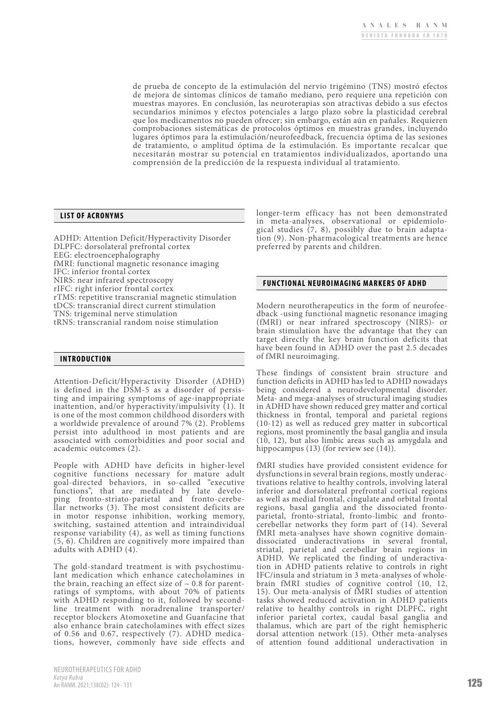de prueba de concepto de la estimulación del nervio trigémino (TNS) mostró efectos de mejora de síntomas clínicos de tamaño mediano, pero requiere una repetición con muestras mayores. En conclusión, las neuroterapias son atractivas debido a sus efectos secundarios mínimos y efectos potenciales a largo plazo sobre la plasticidad cerebral que los medicamentos no pueden ofrecer; sin embargo, están aún en pañales. Requieren comprobaciones sistemáticas de protocolos óptimos en muestras grandes, incluyendo lugares óptimos para la estimulación/neurofeedback, frecuencia óptima de las sesiones de tratamiento, o amplitud óptima de la estimulación. Es importante recalcar que necesitarán mostrar su potencial en tratamientos individualizados, aportando una comprensión de la predicción de la respuesta individual al tratamiento.

# **LIST OF ACRONYMS**

ADHD: Attention Deficit/Hyperactivity Disorder DLPFC: dorsolateral prefrontal cortex EEG: electroencephalography fMRI: functional magnetic resonance imaging IFC: inferior frontal cortex NIRS: near infrared spectroscopy rIFC: right inferior frontal cortex rTMS: repetitive transcranial magnetic stimulation tDCS: transcranial direct current stimulation TNS: trigeminal nerve stimulation tRNS: transcranial random noise stimulation

## **INTRODUCTION**

Attention-Deficit/Hyperactivity Disorder (ADHD) is defined in the  $D\hat{S}M-5$  as a disorder of persisting and impairing symptoms of age-inappropriate inattention, and/or hyperactivity/impulsivity (1). It is one of the most common childhood disorders with a worldwide prevalence of around 7% (2). Problems persist into adulthood in most patients and are associated with comorbidities and poor social and academic outcomes (2).

People with ADHD have deficits in higher-level cognitive functions necessary for mature adult goal-directed behaviors, in so-called "executive functions", that are mediated by late developing fronto-striato-parietal and fronto-cerebellar networks (3). The most consistent deficits are in motor response inhibition, working memory, switching, sustained attention and intraindividual response variability (4), as well as timing functions (5, 6). Children are cognitively more impaired than adults with ADHD (4).

The gold-standard treatment is with psychostimu- lant medication which enhance catecholamines in the brain, reaching an effect size of  $\sim 0.8$  for parentratings of symptoms, with about 70% of patients with ADHD responding to it, followed by secondline treatment with noradrenaline transporter/ receptor blockers Atomoxetine and Guanfacine that also enhance brain catecholamines with effect sizes of 0.56 and 0.67, respectively (7). ADHD medica- tions, however, commonly have side effects and

longer-term efficacy has not been demonstrated in meta-analyses, observational or epidemiological studies  $(7, 8)$ , possibly due to brain adaptation (9). Non-pharmacological treatments are hence preferred by parents and children.

#### **FUNCTIONAL NEUROIMAGING MARKERS OF ADHD**

Modern neurotherapeutics in the form of neurofee- dback -using functional magnetic resonance imaging (fMRI) or near infrared spectroscopy (NIRS)- or brain stimulation have the advantage that they can target directly the key brain function deficits that have been found in ADHD over the past 2.5 decades of fMRI neuroimaging.

These findings of consistent brain structure and function deficits in ADHD has led to ADHD nowadays being considered a neurodevelopmental disorder. Meta- and mega-analyses of structural imaging studies in ADHD have shown reduced grey matter and cortical thickness in frontal, temporal and parietal regions (10-12) as well as reduced grey matter in subcortical regions, most prominently the basal ganglia and insula (10, 12), but also limbic areas such as amygdala and hippocampus (13) (for review see (14)).

fMRI studies have provided consistent evidence for dysfunctions in several brain regions, mostly underactivations relative to healthy controls, involving lateral inferior and dorsolateral prefrontal cortical regions as well as medial frontal, cingulate and orbital frontal regions, basal ganglia and the dissociated frontoparietal, fronto-striatal, fronto-limbic and frontocerebellar networks they form part of (14). Several fMRI meta-analyses have shown cognitive domaindissociated underactivations in several frontal, striatal, parietal and cerebellar brain regions in ADHD. We replicated the finding of underactivation in ADHD patients relative to controls in right IFC/insula and striatum in 3 meta-analyses of wholebrain fMRI studies of cognitive control (10, 12, 15). Our meta-analysis of fMRI studies of attention tasks showed reduced activation in ADHD patients relative to healthy controls in right DLPFC, right inferior parietal cortex, caudal basal ganglia and thalamus, which are part of the right hemispheric dorsal attention network (15). Other meta-analyses of attention found additional underactivation in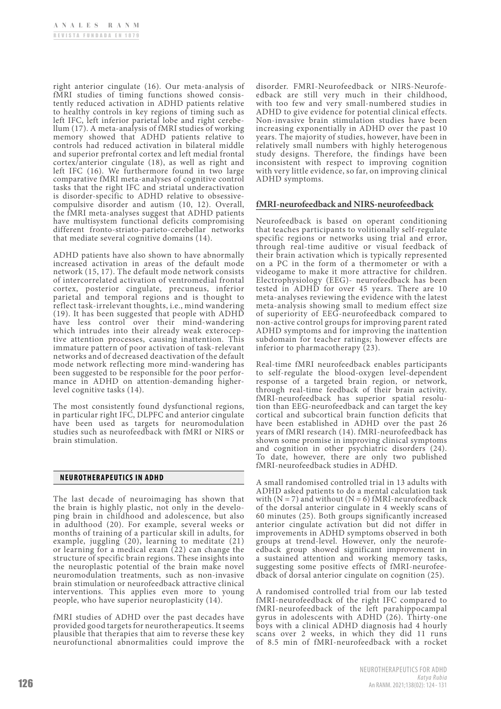right anterior cingulate (16). Our meta-analysis of fMRI studies of timing functions showed consis- tently reduced activation in ADHD patients relative to healthy controls in key regions of timing such as left IFC, left inferior parietal lobe and right cerebellum (17). A meta-analysis of fMRI studies of working memory showed that ADHD patients relative to controls had reduced activation in bilateral middle and superior prefrontal cortex and left medial frontal cortex/anterior cingulate (18), as well as right and left IFC (16). We furthermore found in two large comparative fMRI meta-analyses of cognitive control tasks that the right IFC and striatal underactivation is disorder-specific to ADHD relative to obsessivecompulsive disorder and autism (10, 12). Overall, the fMRI meta-analyses suggest that ADHD patients have multisystem functional deficits compromising different fronto-striato-parieto-cerebellar networks that mediate several cognitive domains (14).

ADHD patients have also shown to have abnormally increased activation in areas of the default mode network (15, 17). The default mode network consists of intercorrelated activation of ventromedial frontal cortex, posterior cingulate, precuneus, inferior parietal and temporal regions and is thought to reflect task-irrelevant thoughts, i.e., mind wandering (19). It has been suggested that people with ADHD have less control over their mind-wandering which intrudes into their already weak exterocep-<br>tive attention processes, causing inattention. This immature pattern of poor activation of task-relevant networks and of decreased deactivation of the default mode network reflecting more mind-wandering has been suggested to be responsible for the poor performance in ADHD on attention-demanding higherlevel cognitive tasks (14).

The most consistently found dysfunctional regions, in particular right IFC, DLPFC and anterior cingulate have been used as targets for neuromodulation studies such as neurofeedback with fMRI or NIRS or brain stimulation.

# **NEUROTHERAPEUTICS IN ADHD**

The last decade of neuroimaging has shown that the brain is highly plastic, not only in the developing brain in childhood and adolescence, but also in adulthood (20). For example, several weeks or months of training of a particular skill in adults, for example, juggling  $(20)$ , learning to meditate  $(21)$ or learning for a medical exam (22) can change the structure of specific brain regions. These insights into the neuroplastic potential of the brain make novel neuromodulation treatments, such as non-invasive brain stimulation or neurofeedback attractive clinical interventions. This applies even more to young people, who have superior neuroplasticity (14).

fMRI studies of ADHD over the past decades have provided good targets for neurotherapeutics. It seems plausible that therapies that aim to reverse these key neurofunctional abnormalities could improve the disorder. FMRI-Neurofeedback or NIRS-Neurofe- edback are still very much in their childhood, with too few and very small-numbered studies in ADHD to give evidence for potential clinical effects. Non-invasive brain stimulation studies have been increasing exponentially in ADHD over the past 10 years. The majority of studies, however, have been in relatively small numbers with highly heterogenous study designs. Therefore, the findings have been inconsistent with respect to improving cognition with very little evidence, so far, on improving clinical ADHD symptoms.

# **fMRI-neurofeedback and NIRS-neurofeedback**

Neurofeedback is based on operant conditioning that teaches participants to volitionally self-regulate specific regions or networks using trial and error, through real-time auditive or visual feedback of their brain activation which is typically represented on a PC in the form of a thermometer or with a videogame to make it more attractive for children. Electrophysiology (EEG)- neurofeedback has been tested in ADHD for over 45 years. There are 10 meta-analyses reviewing the evidence with the latest meta-analysis showing small to medium effect size of superiority of EEG-neurofeedback compared to non-active control groups for improving parent rated ADHD symptoms and for improving the inattention subdomain for teacher ratings; however effects are inferior to pharmacotherapy (23).

Real-time fMRI neurofeedback enables participants to self-regulate the blood-oxygen level-dependent response of a targeted brain region, or network, through real-time feedback of their brain activity. fMRI-neurofeedback has superior spatial resolution than EEG-neurofeedback and can target the key cortical and subcortical brain function deficits that have been established in ADHD over the past 26 years of fMRI research (14). fMRI-neurofeedback has shown some promise in improving clinical symptoms and cognition in other psychiatric disorders (24). To date, however, there are only two published fMRI-neurofeedback studies in ADHD.

A small randomised controlled trial in 13 adults with ADHD asked patients to do a mental calculation task with  $(N = 7)$  and without  $(N = 6)$  fMRI-neurofeedback of the dorsal anterior cingulate in 4 weekly scans of 60 minutes (25). Both groups significantly increased anterior cingulate activation but did not differ in improvements in ADHD symptoms observed in both groups at trend-level. However, only the neurofeedback group showed significant improvement in a sustained attention and working memory tasks, suggesting some positive effects of fMRI-neurofeedback of dorsal anterior cingulate on cognition (25).

A randomised controlled trial from our lab tested fMRI-neurofeedback of the right IFC compared to fMRI-neurofeedback of the left parahippocampal gyrus in adolescents with  $ADHD^1(26)$ . Thirty-one boys with a clinical ADHD diagnosis had 4 hourly scans over 2 weeks, in which they did 11 runs of 8.5 min of fMRI-neurofeedback with a rocket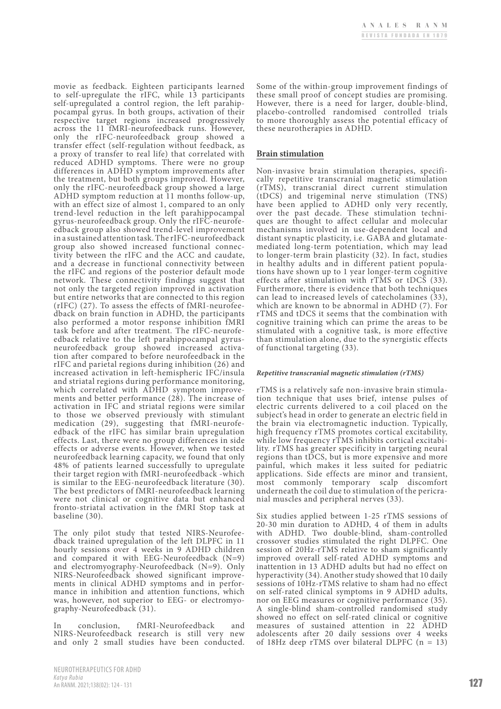movie as feedback. Eighteen participants learned to self-upregulate the rIFC, while 13 participants self-upregulated a control region, the left parahippocampal gyrus. In both groups, activation of their respective target regions increased progressively across the 11 fMRI-neurofeedback runs. However, only the rIFC-neurofeedback group showed a transfer effect (self-regulation without feedback, as a proxy of transfer to real life) that correlated with reduced ADHD symptoms. There were no group differences in ADHD symptom improvements after the treatment, but both groups improved. However, only the rIFC-neurofeedback group showed a large ADHD symptom reduction at 11 months follow-up, with an effect size of almost 1, compared to an only trend-level reduction in the left parahippocampal edback group also showed trend-level improvement in a sustained attention task. The rIFC-neurofeedback group also showed increased functional connec- tivity between the rIFC and the ACC and caudate, and a decrease in functional connectivity between the rIFC and regions of the posterior default mode network. These connectivity findings suggest that not only the targeted region improved in activation but entire networks that are connected to this region (rIFC) (27). To assess the effects of fMRI-neurofee- dback on brain function in ADHD, the participants also performed a motor response inhibition fMRI edback relative to the left parahippocampal gyrus-<br>neurofeedback group showed increased activation after compared to before neurofeedback in the rIFC and parietal regions during inhibition (26) and increased activation in left-hemispheric IFC/insula and striatal regions during performance monitoring, which correlated with ADHD symptom improvements and better performance (28). The increase of activation in IFC and striatal regions were similar to those we observed previously with stimulant medication (29), suggesting that fMRI-neurofeedback of the rIFC has similar brain upregulation effects. Last, there were no group differences in side effects or adverse events. However, when we tested neurofeedback learning capacity, we found that only 48% of patients learned successfully to upregulate their target region with fMRI-neurofeedback -which<br>is similar to the EEG-neurofeedback literature (30). The best predictors of fMRI-neurofeedback learning were not clinical or cognitive data but enhanced fronto-striatal activation in the fMRI Stop task at baseline (30).

The only pilot study that tested NIRS-Neurofeedback trained upregulation of the left DLPFC in 11 hourly sessions over 4 weeks in 9 ADHD children and compared it with EEG-Neurofeedback (N=9) and electromyography-Neurofeedback (N=9). Only ments in clinical ADHD symptoms and in perfor-<br>mance in inhibition and attention functions, which was, however, not superior to EEG- or electromyography-Neurofeedback (31).

In conclusion, fMRI-Neurofeedback and NIRS-Neurofeedback research is still very new and only 2 small studies have been conducted.

Some of the within-group improvement findings of these small proof of concept studies are promising. However, there is a need for larger, double-blind, placebo-controlled randomised controlled trials to more thoroughly assess the potential efficacy of these neurotherapies in ADHD.

# **Brain stimulation**

Non-invasive brain stimulation therapies, specifi- cally repetitive transcranial magnetic stimulation (rTMS), transcranial direct current stimulation (tDCS) and trigeminal nerve stimulation (TNS) have been applied to ADHD only very recently, over the past decade. These stimulation techni- ques are thought to affect cellular and molecular mechanisms involved in use-dependent local and distant synaptic plasticity, i.e. GABA and glutamatemediated long-term potentiation, which may lead to longer-term brain plasticity (32). In fact, studies in healthy adults and in different patient populations have shown up to 1 year longer-term cognitive effects after stimulation with rTMS or tDCS (33). Furthermore, there is evidence that both techniques can lead to increased levels of catecholamines (33), which are known to be abnormal in ADHD (7). For rTMS and tDCS it seems that the combination with cognitive training which can prime the areas to be stimulated with a cognitive task, is more effective than stimulation alone, due to the synergistic effects of functional targeting (33).

#### *Repetitive transcranial magnetic stimulation (rTMS)*

rTMS is a relatively safe non-invasive brain stimulation technique that uses brief, intense pulses of electric currents delivered to a coil placed on the subject's head in order to generate an electric field in the brain via electromagnetic induction. Typically, high frequency rTMS promotes cortical excitability, while low frequency rTMS inhibits cortical excitability. rTMS has greater specificity in targeting neural regions than tDCS, but is more expensive and more painful, which makes it less suited for pediatric applications. Side effects are minor and transient, most commonly temporary scalp discomfort underneath the coil due to stimulation of the pericranial muscles and peripheral nerves (33).

Six studies applied between 1-25 rTMS sessions of 20-30 min duration to ADHD, 4 of them in adults with ADHD. Two double-blind, sham-controlled crossover studies stimulated the right DLPFC. One session of 20Hz-rTMS relative to sham significantly improved overall self-rated ADHD symptoms and inattention in 13 ADHD adults but had no effect on hyperactivity (34). Another study showed that 10 daily sessions of 10Hz-rTMS relative to sham had no effect on self-rated clinical symptoms in 9 ADHD adults, nor on EEG measures or cognitive performance (35). A single-blind sham-controlled randomised study showed no effect on self-rated clinical or cognitive measures of sustained attention in 22 ADHD adolescents after 20 daily sessions over 4 weeks of 18Hz deep rTMS over bilateral DLPFC  $(n = 13)$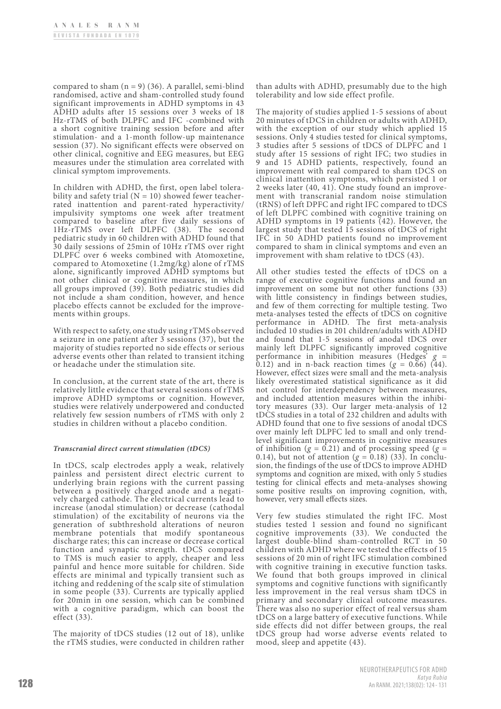compared to sham  $(n = 9)$  (36). A parallel, semi-blind randomised, active and sham-controlled study found significant improvements in ADHD symptoms in 43 ADHD adults after 15 sessions over 3 weeks of 18 Hz-rTMS of both DLPFC and IFC -combined with a short cognitive training session before and after stimulation- and a 1-month follow-up maintenance session (37). No significant effects were observed on other clinical, cognitive and EEG measures, but EEG measures under the stimulation area correlated with clinical symptom improvements.

In children with ADHD, the first, open label tolera-<br>bility and safety trial  $(N = 10)$  showed fewer teacherrated inattention and parent-rated hyperactivity/ impulsivity symptoms one week after treatment compared to baseline after five daily sessions of 1Hz-rTMS over left DLPFC (38). The second pediatric study in 60 children with ADHD found that 30 daily sessions of 25min of 10Hz rTMS over right DLPFC over 6 weeks combined with Atomoxetine, compared to Atomoxetine (1.2mg/kg) alone of rTMS alone, significantly improved ADHD symptoms but not other clinical or cognitive measures, in which all groups improved (39). Both pediatric studies did not include a sham condition, however, and hence placebo effects cannot be excluded for the improve- ments within groups.

With respect to safety, one study using rTMS observed a seizure in one patient after 3 sessions (37), but the majority of studies reported no side effects or serious adverse events other than related to transient itching or headache under the stimulation site.

In conclusion, at the current state of the art, there is relatively little evidence that several sessions of rTMS improve ADHD symptoms or cognition. However, studies were relatively underpowered and conducted relatively few session numbers of rTMS with only 2 studies in children without a placebo condition.

# *Transcranial direct current stimulation (tDCS)*

In tDCS, scalp electrodes apply a weak, relatively painless and persistent direct electric current to underlying brain regions with the current passing between a positively charged anode and a negatively charged cathode. The electrical currents lead to increase (anodal stimulation) or decrease (cathodal stimulation) of the excitability of neurons via the generation of subthreshold alterations of neuron membrane potentials that modify spontaneous discharge rates; this can increase or decrease cortical function and synaptic strength. tDCS compared to TMS is much easier to apply, cheaper and less painful and hence more suitable for children. Side effects are minimal and typically transient such as itching and reddening of the scalp site of stimulation in some people (33). Currents are typically applied for 20min in one session, which can be combined with a cognitive paradigm, which can boost the effect (33).

The majority of tDCS studies (12 out of 18), unlike the rTMS studies, were conducted in children rather than adults with ADHD, presumably due to the high tolerability and low side effect profile.

The majority of studies applied 1-5 sessions of about 20 minutes of tDCS in children or adults with ADHD, with the exception of our study which applied 15 sessions. Only 4 studies tested for clinical symptoms, 3 studies after 5 sessions of tDCS of DLPFC and 1 study after 15 sessions of right IFC; two studies in 9 and 15 ADHD patients, respectively, found an improvement with real compared to sham tDCS on clinical inattention symptoms, which persisted 1 or ment with transcranial random noise stimulation (tRNS) of left DPFC and right IFC compared to tDCS of left DLPFC combined with cognitive training on ADHD symptoms in 19 patients (42). However, the largest study that tested 15 sessions of tDCS of right IFC in 50 ADHD patients found no improvement compared to sham in clinical symptoms and even an improvement with sham relative to tDCS (43).

All other studies tested the effects of tDCS on a range of executive cognitive functions and found an improvement on some but not other functions (33) with little consistency in findings between studies, and few of them correcting for multiple testing. Two meta-analyses tested the effects of tDCS on cognitive performance in ADHD. The first meta-analysis included 10 studies in 201 children/adults with ADHD and found that 1-5 sessions of anodal tDCS over mainly left DLPFC significantly improved cognitive performance in inhibition measures (Hedges'  $g =$  $\overline{0.12}$ ) and in n-back reaction times ( $g = 0.66$ ) (44). However, effect sizes were small and the meta-analysis likely overestimated statistical significance as it did not control for interdependency between measures, and included attention measures within the inhibitory measures (33). Our larger meta-analysis of 12 tDCS studies in a total of 232 children and adults with ADHD found that one to five sessions of anodal tDCS over mainly left DLPFC led to small and only trendlevel significant improvements in cognitive measures of inhibition  $(g = 0.21)$  and of processing speed  $(g =$ 0.14), but not of attention  $(g = 0.18)$  (33). In conclusion, the findings of the use of tDCS to improve ADHD symptoms and cognition are mixed, with only 5 studies testing for clinical effects and meta-analyses showing some positive results on improving cognition, with, however, very small effects sizes.

Very few studies stimulated the right IFC. Most studies tested 1 session and found no significant cognitive improvements (33). We conducted the largest double-blind sham-controlled RCT in 50 children with ADHD where we tested the effects of 15 sessions of 20 min of right IFC stimulation combined with cognitive training in executive function tasks. We found that both groups improved in clinical symptoms and cognitive functions with significantly less improvement in the real versus sham tDCS in primary and secondary clinical outcome measures. There was also no superior effect of real versus sham tDCS on a large battery of executive functions. While side effects did not differ between groups, the real tDCS group had worse adverse events related to mood, sleep and appetite (43).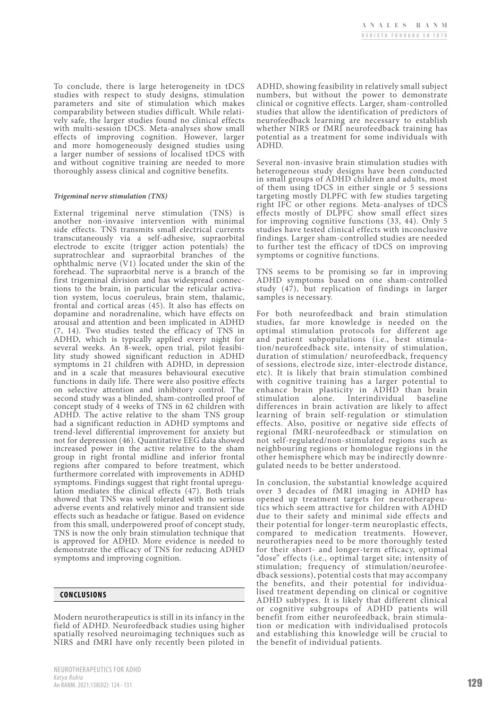To conclude, there is large heterogeneity in tDCS studies with respect to study designs, stimulation parameters and site of stimulation which makes vely safe, the larger studies found no clinical effects with multi-session tDCS. Meta-analyses show small effects of improving cognition. However, larger and more homogeneously designed studies using a larger number of sessions of localised tDCS with and without cognitive training are needed to more thoroughly assess clinical and cognitive benefits.

#### *Trigeminal nerve stimulation (TNS)*

External trigeminal nerve stimulation (TNS) is another non-invasive intervention with minimal side effects. TNS transmits small electrical currents transcutaneously via a self-adhesive, supraorbital electrode to excite (trigger action potentials) the supratrochlear and supraorbital branches of the ophthalmic nerve (V1) located under the skin of the forehead. The supraorbital nerve is a branch of the first trigeminal division and has widespread connections to the brain, in particular the reticular activa-<br>tion system, locus coeruleus, brain stem, thalamic, frontal and cortical areas (45). It also has effects on dopamine and noradrenaline, which have effects on arousal and attention and been implicated in ADHD (7, 14). Two studies tested the efficacy of TNS in ADHD, which is typically applied every night for several weeks. An 8-week, open trial, pilot feasibi-<br>lity study showed significant reduction in ADHD symptoms in 21 children with ADHD, in depression and in a scale that measures behavioural executive functions in daily life. There were also positive effects on selective attention and inhibitory control. The second study was a blinded, sham-controlled proof of concept study of 4 weeks of TNS in 62 children with ADHD. The active relative to the sham TNS group had a significant reduction in ADHD symptoms and trend-level differential improvement for anxiety but not for depression (46). Quantitative EEG data showed increased power in the active relative to the sham group in right frontal midline and inferior frontal regions after compared to before treatment, which furthermore correlated with improvements in ADHD symptoms. Findings suggest that right frontal upregulation mediates the clinical effects (47). Both trials showed that TNS was well tolerated with no serious adverse events and relatively minor and transient side effects such as headache or fatigue. Based on evidence from this small, underpowered proof of concept study, TNS is now the only brain stimulation technique that is approved for ADHD. More evidence is needed to demonstrate the efficacy of TNS for reducing ADHD symptoms and improving cognition.

# **CONCLUSIONS**

Modern neurotherapeutics is still in its infancy in the field of ADHD. Neurofeedback studies using higher spatially resolved neuroimaging techniques such as NIRS and fMRI have only recently been piloted in ADHD, showing feasibility in relatively small subject numbers, but without the power to demonstrate clinical or cognitive effects. Larger, sham-controlled studies that allow the identification of predictors of neurofeedback learning are necessary to establish whether NIRS or fMRI neurofeedback training has potential as a treatment for some individuals with ADHD.

Several non-invasive brain stimulation studies with heterogeneous study designs have been conducted in small groups of ADHD children and adults, most of them using tDCS in either single or 5 sessions targeting mostly DLPFC with few studies targeting right IFC or other regions. Meta-analyses of tDCS effects mostly of DLPFC show small effect sizes for improving cognitive functions (33, 44). Only 5 studies have tested clinical effects with inconclusive findings. Larger sham-controlled studies are needed to further test the efficacy of tDCS on improving symptoms or cognitive functions.

TNS seems to be promising so far in improving ADHD symptoms based on one sham-controlled study (47), but replication of findings in larger samples is necessary.

For both neurofeedback and brain stimulation studies, far more knowledge is needed on the optimal stimulation protocols for different age<br>and patient subpopulations (i.e., best stimulation/neurofeedback site, intensity of stimulation, duration of stimulation/ neurofeedback, frequency of sessions, electrode size, inter-electrode distance, etc). It is likely that brain stimulation combined with cognitive training has a larger potential to enhance brain plasticity in ADHD than brain stimulation alone. Interindividual baseline differences in brain activation are likely to affect learning of brain self-regulation or stimulation effects. Also, positive or negative side effects of regional fMRI-neurofeedback or stimulation on not self-regulated/non-stimulated regions such as neighbouring regions or homologue regions in the other hemisphere which may be indirectly downregulated needs to be better understood.

In conclusion, the substantial knowledge acquired over 3 decades of fMRI imaging in ADHD has opened up treatment targets for neurotherapeutics which seem attractive for children with ADHD due to their safety and minimal side effects and their potential for longer-term neuroplastic effects, compared to medication treatments. However, neurotherapies need to be more thoroughly tested for their short- and longer-term efficacy, optimal "dose" effects (i.e., optimal target site; intensity of dback sessions), potential costs that may accompany<br>the benefits, and their potential for individualised treatment depending on clinical or cognitive ADHD subtypes. It is likely that different clinical or cognitive subgroups of ADHD patients will benefit from either neurofeedback, brain stimulation or medication with individualised protocols and establishing this knowledge will be crucial to the benefit of individual patients.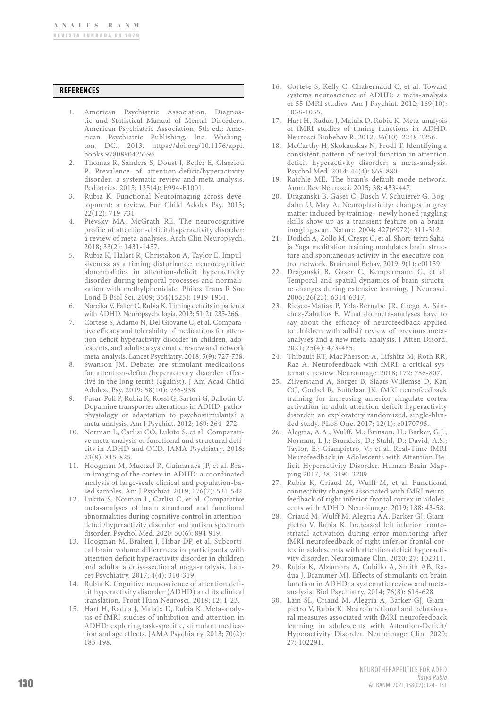#### **REFERENCES**

- 1. American Psychiatric Association. Diagnostic and Statistical Manual of Mental Disorders. American Psychiatric Association, 5th ed.; American Psychiatric Publishing, Inc. Washington, DC., 2013. https://doi.org/10.1176/appi. books.9780890425596
- 2. Thomas R, Sanders S, Doust J, Beller E, Glasziou P. Prevalence of attention-deficit/hyperactivity disorder: a systematic review and meta-analysis. Pediatrics. 2015; 135(4): E994-E1001.
- 3. Rubia K. Functional Neuroimaging across development: a review. Eur Child Adoles Psy. 2013; 22(12): 719-731
- 4. Pievsky MA, McGrath RE. The neurocognitive profile of attention-deficit/hyperactivity disorder: a review of meta-analyses. Arch Clin Neuropsych. 2018; 33(2): 1431-1457.
- 5. Rubia K, Halari R, Christakou A, Taylor E. Impulsiveness as a timing disturbance: neurocognitive abnormalities in attention-deficit hyperactivity disorder during temporal processes and normalization with methylphenidate. Philos Trans R Soc Lond B Biol Sci. 2009; 364(1525): 1919-1931.
- 6. Noreika V, Falter C, Rubia K. Timing deficits in patients with ADHD. Neuropsychologia. 2013; 51(2): 235-266.
- 7. Cortese S, Adamo N, Del Giovane C, et al. Comparative efficacy and tolerability of medications for attention-deficit hyperactivity disorder in children, adolescents, and adults: a systematic review and network meta-analysis. Lancet Psychiatry. 2018; 5(9): 727-738.
- 8. Swanson JM. Debate: are stimulant medications for attention-deficit/hyperactivity disorder effective in the long term? (against). J Am Acad Child Adolesc Psy. 2019; 58(10): 936-938.
- 9. Fusar-Poli P, Rubia K, Rossi G, Sartori G, Ballotin U. Dopamine transporter alterations in ADHD: pathophysiology or adaptation to psychostimulants? a meta-analysis. Am J Psychiat. 2012; 169: 264 -272.
- 10. Norman L, Carlisi CO, Lukito S, et al. Comparative meta-analysis of functional and structural deficits in ADHD and OCD. JAMA Psychiatry. 2016; 73(8): 815-825.
- 11. Hoogman M, Muetzel R, Guimaraes JP, et al. Brain imaging of the cortex in ADHD: a coordinated analysis of large-scale clinical and population-based samples. Am J Psychiat. 2019; 176(7): 531-542.
- 12. Lukito S, Norman L, Carlisi C, et al. Comparative meta-analyses of brain structural and functional abnormalities during cognitive control in attentiondeficit/hyperactivity disorder and autism spectrum disorder. Psychol Med. 2020; 50(6): 894-919.
- 13. Hoogman M, Bralten J, Hibar DP, et al. Subcortical brain volume differences in participants with attention deficit hyperactivity disorder in children and adults: a cross-sectional mega-analysis. Lancet Psychiatry. 2017; 4(4): 310-319.
- 14. Rubia K. Cognitive neuroscience of attention deficit hyperactivity disorder (ADHD) and its clinical translation. Front Hum Neurosci. 2018; 12: 1-23.
- 15. Hart H, Radua J, Mataix D, Rubia K. Meta-analysis of fMRI studies of inhibition and attention in ADHD: exploring task-specific, stimulant medication and age effects. JAMA Psychiatry. 2013; 70(2): 185-198.
- 16. Cortese S, Kelly C, Chabernaud C, et al. Toward systems neuroscience of ADHD: a meta-analysis of 55 fMRI studies. Am J Psychiat. 2012; 169(10): 1038-1055.
- 17. Hart H, Radua J, Mataix D, Rubia K. Meta-analysis of fMRI studies of timing functions in ADHD. Neurosci Biobehav R. 2012; 36(10): 2248-2256.
- 18. McCarthy H, Skokauskas N, Frodl T. Identifying a consistent pattern of neural function in attention deficit hyperactivity disorder: a meta-analysis. Psychol Med. 2014; 44(4): 869-880.
- 19. Raichle ME. The brain's default mode network. Annu Rev Neurosci. 2015; 38: 433-447.
- 20. Draganski B, Gaser C, Busch V, Schuierer G, Bogdahn U, May A. Neuroplasticity: changes in grey matter induced by training - newly honed juggling skills show up as a transient feature on a brainimaging scan. Nature. 2004; 427(6972): 311-312.
- 21. Dodich A, Zollo M, Crespi C, et al. Short-term Sahaja Yoga meditation training modulates brain structure and spontaneous activity in the executive control network. Brain and Behav. 2019; 9(1): e01159.
- 22. Draganski B, Gaser C, Kempermann G, et al. Temporal and spatial dynamics of brain structure changes during extensive learning. J Neurosci. 2006; 26(23): 6314-6317.
- 23. Riesco-Matías P, Yela-Bernabé JR, Crego A, Sánchez-Zaballos E. What do meta-analyses have to say about the efficacy of neurofeedback applied to children with adhd? review of previous metaanalyses and a new meta-analysis. J Atten Disord. 2021; 25(4): 473-485.
- 24. Thibault RT, MacPherson A, Lifshitz M, Roth RR, Raz A. Neurofeedback with fMRI: a critical systematic review. Neuroimage. 2018; 172: 786-807.
- 25. Zilverstand A, Sorger B, Slaats-Willemse D, Kan CC, Goebel R, Buitelaar JK. fMRI neurofeedback training for increasing anterior cingulate cortex activation in adult attention deficit hyperactivity disorder. an exploratory randomized, single-blinded study. PLoS One. 2017; 12(1): e0170795.
- 26. Alegria, A.A.; Wulff, M.; Brinson, H.; Barker, G.J.; Norman, L.J.; Brandeis, D.; Stahl, D.; David, A.S.; Taylor, E.; Giampietro, V.; et al. Real-Time fMRI Neurofeedback in Adolescents with Attention Deficit Hyperactivity Disorder. Human Brain Mapping 2017, 38, 3190-3209
- 27. Rubia K, Criaud M, Wulff M, et al. Functional connectivity changes associated with fMRI neurofeedback of right inferior frontal cortex in adolescents with ADHD. Neuroimage. 2019; 188: 43-58.
- 28. Criaud M, Wulff M, Alegria AA, Barker GJ, Giampietro V, Rubia K. Increased left inferior frontostriatal activation during error monitoring after fMRI neurofeedback of right inferior frontal cortex in adolescents with attention deficit hyperactivity disorder. Neuroimage Clin. 2020; 27: 102311.
- 29. Rubia K, Alzamora A, Cubillo A, Smith AB, Radua J, Brammer MJ. Effects of stimulants on brain function in ADHD: a systematic review and metaanalysis. Biol Psychiatry. 2014; 76(8): 616-628.
- 30. Lam SL, Criaud M, Alegria A, Barker GJ, Giampietro V, Rubia K. Neurofunctional and behavioural measures associated with fMRI-neurofeedback learning in adolescents with Attention-Deficit/ Hyperactivity Disorder. Neuroimage Clin. 2020; 27: 102291.